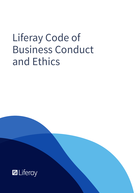# Liferay Code of Business Conduct and Ethics

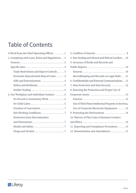# **Table of Contents**

| 4. Fair Dealing and Honest and Ethical Conduct. . 10  |
|-------------------------------------------------------|
| 5. Accuracy of Books and Records and                  |
|                                                       |
|                                                       |
| Recordkeeping and Records on Legal Hold 11            |
| 6. Confidentiality and External Communications. . 11  |
| 7. Data Protection and Data Security  12              |
| 8. Ensuring the Protection and Proper Use of          |
| Corporate Assets  13                                  |
|                                                       |
| Use of Third Party Intellectual Property or Services, |
| Use of Corporate Electronic Equipment 13              |
| 9. Protecting the Environment  14                     |
| 10. Waivers of This Code of Business Conduct          |
|                                                       |
| 11. Reporting and Compliance Procedures  15           |
| 12. Dissemination and Amendment 17                    |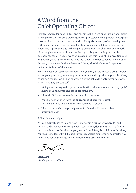# <span id="page-2-0"></span>A Word from the Chief Operating Officer

Liferay, Inc. was founded in 2004 and has since then developed into a global group of companies that houses a diverse group of professionals that provides enterprise class services to clients across the world. Liferay also steers product development within many open source projects that Liferay sponsors. Liferay's success and leadership is primarily due to the ongoing dedication, the character and integrity of its people and their ability to do the right thing in a variety of complex business scenarios. As Liferay continues to grow, this Code of Business Conduct and Ethics (hereinafter referred to as the "**Code**") intends to set out a clear path for everyone to meet both the letter and the spirit of the laws and regulations that apply to Liferay's business.

Now, no document can address every issue you might face in your work at Liferay, so use your good judgment along with this Code and any other applicable Liferay policy as a foundation and an expression of the values to apply to your actions. When in doubt, ask yourself:

- Is it **legal** according to the spirit, as well as the letter, of any law that may apply? Follow both, the letter and the spirit of the law.
- Is it **ethical**? Do not engage in any unethical behavior.
- Would my action even have the **appearance** of being unethical? Don't do anything you wouldn't want revealed in public.
- Is it consistent with the **principles** set forth in this Code and other Liferay policies?

#### Follow those principles.

With so many things to take care of, it may seem a nuisance to have to read, understand and accept to comply with such a long document. But that's how important it is to us that the company we build as Liferay is built in an ethical way. Your acknowledgment will be kept in your respective employee or contractor file. Thank you for your energy and attention to this essential matter.

Brefin

Brian Kim Chief Operating Officer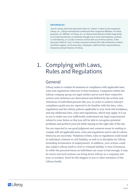#### <span id="page-3-0"></span>**References**

Just for clarity, when this document refers to "Liferay" it refers to the companies Liferay, Inc., Liferay International Limited and their respective Affiliates. For these purposes, an "Affiliate" of Liferay, Inc. or Liferay International Limited respectively is an entity that directly, or indirectly, through one or more intermediaries, controls, is controlled by, or is under common control with any of these entities. If this document refers to "you", it means everyone to whom this Code of Business Conduct and Ethics applies, so all associates, employees, staff and other representatives, temporary and permanent, of Liferay.

### 1. Complying with Laws, Rules and Regulations

#### General

Liferay seeks to conduct its business in compliance with applicable laws, rules and regulations wherever it does business. Companies within the Liferay company group are legal entities and as such their respective actions and omissions are determined and defined by the actions and omissions of individual persons like you. In order to achieve Liferay's compliance goals you are expected to be familiar with the laws, rules, regulations and the Liferay policies applicable to your work and workplace, and any additional laws, rules and regulations, which may apply. It is up to you to make sure you sufficiently understand any legal requirements related to your duties so that you will be able to recognize potential problems and perform your job while staying on the right side of the law. You are expected to use good judgment and common sense in seeking to comply with all applicable laws, rules and regulations and to ask for advice when you are uncertain. Violations of laws, rules or regulations could result in individual criminal or civil liability, as well as in discipline by Liferay (including termination of employment). In addition, your actions could also subject Liferay itself to civil or criminal liability or loss of business. So while the personal harm an individual can cause is bad enough, it may be worse and such actions can bring down Liferay as a company and your co-workers. Don't let this happen to you or other members of the Liferay family.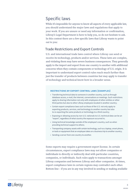### <span id="page-4-0"></span>Specific laws

While it's impossible for anyone to know all aspects of every applicable law, you should understand the major laws and regulations that apply to your work. If you are unsure or need any information or confirmation, Liferay's Legal Department is here to help you, so do not hesitate to ask. In this context there are a few specific laws that Liferay wants to point out to you:

#### Trade Restrictions and Export Controls

U.S. and international trade laws control where Liferay can send or receive its technology, products and/or services. These laws are complex, and violating them may have severe business consequences. They generally apply to the import and export from one country to another with additional concerns when they contain components or technology of U.S. origin. It is important to understand export control rules reach much further than just the transfer of products between countries but may apply to transfer of technology and technical know-how in a broader sense.

#### **Restrictions by Export Control Laws (Examples)**

- Transferring technical data to someone in another country, such as through database access, e-mail, the Internet, conversations or meetings. Such restrictions apply to sharing information not only with employees of other entities or other third parties but also to other Liferay employees located in another country;
- Certain export compliance laws such as those of the U.S. not only apply to exporting products, services, and technology to another country but also to re-exporting the same products or technology to a third country;
- Exposing or allowing access by non-U.S. nationals to U.S. technical data can be an "export", regardless of what country the exposure occurred in;
- Using technical knowledge outside of the employee's country, such as when providing technical support to others;
- Transporting company assets with certain technology, such as a laptop, smart phone, or tools or equipment that an employee takes on a business trip to another country;
- Sending a server from one country to another.

Some exports may require a government export license. In certain circumstances, export compliance laws may not allow companies or individuals to directly or indirectly deal with particular countries, companies, or individuals. Such rules apply to transactions amongst Liferay companies and between Liferay and other companies. At times, export compliance laws in certain regions may contradict each other. Bottom line – if you are in any way involved in sending or making available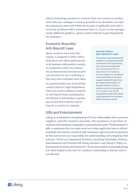<span id="page-5-0"></span>Liferay technology, products or services from one country to another, work with your manager as early as possible to be absolutely sure that the transaction stays well within the bounds of applicable laws and to avoid any problems with a transaction later on. If you or your manager needs additional guidance, please contact Liferay's Legal Department for assistance.

#### Economic Boycotts/ Anti-Boycott Laws

Many countries have laws that require a company to either refuse (boycott) or not refuse (anti-boycott) to do business with another country, its companies and/or its citizens. On an international level these laws can therefore be very confusing as they may even contradict each other.

As a general policy you must always contact Liferay's Legal Department when you need to address a boycott or anti-boycott issue including but not limited to information requests you receive that could be used to boycott a country or company.

#### Gifts and Entertainment

#### **United States Anti-Boycott Laws**

There are U.S. laws that generally prohibit U.S. companies and their subsidiaries from cooperating with international boycotts not sanctioned by the U.S. Government. For instance, U.S. laws require U.S. companies not to participate in the Arab League's boycott of Israel. If you are asked to participate in a boycott related to Israel or another country, its companies, or its citizens, you should immediately contact the Liferay Legal Department for assistance before taking any action.

Liferay is committed to strengthening all of our relationships with customers, suppliers, and other business associates. The acceptance or provision of business entertainment, hospitality or promotional events ("Entertainment"), gifts or payments that you make must not violate applicable laws or ethical standards and must be consistent with customary regional business practices. In this context you are responsible for understanding and complying with Liferay's "Policy on Commercial Practices, Including Charitable, Political, Entertainment and Personal Gift Giving Activities" and Liferay's "Policy on Government Practices and Payments". To prevent conflicts around gift giving, it is often helpful at the start of a business relationship to discuss what is not allowed.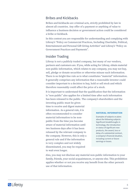#### <span id="page-6-0"></span>Bribes and Kickbacks

Bribes and kickbacks are criminal acts, strictly prohibited by law in almost all countries. Any offer of a payment or anything of value to influence a business decision or government action could be considered a bribe or kickback.

In this context you are responsible for understanding and complying with Liferay's "Policy on Commercial Practices, Including Charitable, Political, Entertainment and Personal Gift Giving Activities" and Liferay's "Policy on Government Practices and Payments".

#### Insider Trading

Liferay is not a publicly traded company, but many of our vendors, partners and customers are. If you, while acting for Liferay, obtain material non-public information, which relates to any company, you may not buy, sell, pledge or donate securities or otherwise misuse such information. There is no bright-line rule as to what constitutes "material" information. It generally comprises any information that a reasonable investor could consider important to a decision to buy, hold or sell stock and which therefore reasonably could affect the price of a stock.

It is important to understand that the qualification that the information is "non-public" also applies for a limited time after such information has been released to the public. The company's shareholders and the

investing public must be given time to receive and digest material information. As a general rule, it is often recommended to consider material information to be nonpublic from the time you become aware of material information until two business days after it has been released by the relevant company to the company. However, this is only a general rule and if the information is very complex and not widely disseminated, you may be required to wait even longer.

#### **Material Information**

Examples of subjects or plans about the following subjects: Significant breakthroughs in technology, the introduction or status of significant new products, the award, loss or delay of a substantial contract, a company's financial situation, including current or future earnings or losses.

Also, you may not disclose any material non-public information to your family, friends, your social acquaintances, or anyone else. This prohibition applies whether or not you receive any benefit from the other person's use of that information.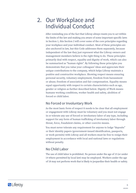# <span id="page-7-0"></span>2. Our Workplace and Individual Conduct

After reminding you of the fact that Liferay always wants you to act within the limits of the law and making you aware of some important specific laws in Section 1, this Section 2 will cover some of the core principles regarding your workplace and your individual conduct. Most of these principles are also anchored in law, but this Code addresses them separately, because independent of the law they just represent what the Liferay owners and management members believe is the right thing to do. These principles primarily deal with respect, equality and dignity of work, which can also be summarized as "human rights". By following these principles you demonstrate that you value your colleagues' ideas and appreciate their unique contributions to the company, which helps Liferay maintain a positive and constructive workplace. Showing respect means ensuring personal security, voluntary employment, freedom from harassment or abuse; freedom of association and fair compensation. Equality means equal opportunity with respect to certain characteristics such as age, gender or religion as further described below. Dignity of Work means humane working conditions, worker health and safety, abolition of forced or child labor.

### No Forced or Involuntary Work

As the most basic form of respect it needs to be clear that all employment or engagement with Liferay must be voluntary and you must not engage in or tolerate any use of forced or involuntary labor of any type, including support for any form of human trafficking of involuntary labor through threat, force, fraudulent claims, or other coercive means.

You must never tolerate any requirement for anyone to lodge "deposits" or their identity papers (government-issued identification, passports, or work permits) with Liferay and all workers must be free to resign their employment in accordance with local and national laws or regulations without penalty.

#### No Child Labor

The use of child labor is prohibited. No person under the age of 15 (or under 14 where permitted by local law) may be employed. Workers under the age of 18 may not perform work that is likely to jeopardize their health or safety.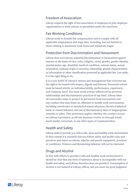### <span id="page-8-0"></span>Freedom of Association

Liferay respects the right of free association of employees to join employee organizations or trade unions, as permitted under the local laws.

### Fair Working Conditions

Liferay seeks to furnish fair compensation and to comply with all applicable employment and wage laws, including, but not limited to, those relating to maximum work hours and minimum wages.

### Protection from Discrimination and Harassment

Liferay does not tolerate unlawful discrimination or harassment against anyone on the basis of race, color, religion, creed, gender, gender identity, marital status, age, disability, medical condition, veteran status, sexual orientation, national origin or ancestry, citizenship, genetic characteristics or information or other classification protected by applicable law. Law aside, it is the right thing to do.

It is a core belief of Liferay's owners and management that everyone has the right to be treated with respect, dignity and fairness. Personnel actions must be based strictly on individual ability, performance, experience, and company need. You must avoid actions influenced by personal relationships and discriminatory practices of any kind. Liferay takes all reasonable steps to protect its personnel from harassment and any conduct that may foster an offensive or hostile work environment, including unwelcome or unsolicited sexual advances, threats of physical harm or violent behavior, and use of discriminatory slurs or inappropriate remarks or jokes. This protection applies whether the conduct occurs on Liferay's premises, at off-site business events, or through email, social media, voicemail, or any other types of communication.

### Health and Safety

Liferay seeks to provide you with a safe, clean and healthy work environment. In this context it is essential that you follow safety and health rules and practices and report accidents, injuries and unsafe equipment, practices or conditions. Violence and threatening behavior will not be tolerated.

### Drugs and Alcohol

In line with efforts to provide a safe and healthy work environment it should be clear that any form of substance abuse is incompatible with our health and safety, and Liferay therefore does not permit it. Consumption of alcohol is not banned at Liferay offices, but you must use good judgment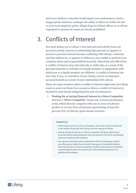<span id="page-9-0"></span>and never drink in a way that would impair your performance, lead to inappropriate behavior, endanger the safety of others or violate the law or your local employee policy. Illegal drugs in Liferay offices or at Liferay organized or sponsored events are strictly prohibited.

# 3. Conflicts of Interest

You must always act in Liferay´s best interests and refrain from any personal activity, interest or relationship that presents or appears to present a personal interest thereby conflicting with Liferay´s interests and that influences, or appears to influence, your ability to perform your company duties and responsibilities honestly, objectively and effectively. A conflict of interest may arise directly, or indirectly, as a result of the personal interests or activities of a family member or organization with which you or a family member are affiliated. A conflict of interest can also arise if you, or a member of your family, receive an improper personal benefit as a result of your relationship with Liferay.

There are many scenarios where a conflict of interest might exist, but Liferay wants to point out these four scenarios where a conflict of interest is deemed to exist absent mitigating facts and circumstances:

I. **Working for or having Financial Interest in a Direct Competitor**  whereas a "**Direct Competitor**" means any commercial business entity, which directly competes with one or more of Liferay's product or service lines of business representing at least five percent (5%) of Liferay's gross annual revenues.

#### **Examples**

- Performing services for a Direct Competitor, other than services performed in the context of your job with Liferay or at the request of Liferay;
- Having a financial interest in a Direct Competitor of Liferay, other than a financial interest representing less than one percent (1%) of the outstanding shares of a publicly-held company;
- Your spouse, domestic partner, dependent child (including step-child) or any other person (other than a tenant) sharing your household holding a financial interest in a Direct Competitor of Liferay, other than an investment representing less than one percent (1%) of the outstanding shares of a publicly-held company.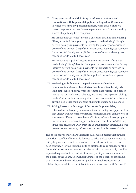II. **Using your position with Liferay to influence contracts and transactions with Important Suppliers or Important Customers,** in which you have any personal interest, other than a financial interest representing less than one percent (1%) of the outstanding shares of a publicly-held company.

An "Important Customer" means a customer that has made during Liferay's last full fiscal year, or proposes to make during Liferay's current fiscal year, payments to Liferay for property or services in excess of one percent (1%) of (i) Liferay's consolidated gross revenues for its last full fiscal year or (ii) the customer's consolidated gross revenues for its last full fiscal year.

An "Important Supplier" means a supplier to which Liferay has made during Liferay's last full fiscal year, or proposes to make during Liferay's current fiscal year, payments for property or services in excess of one percent (1%) of (i) Liferay's consolidated gross revenues for its last full fiscal year or (ii) the supplier's consolidated gross revenues for its last full fiscal year.

- III. **Reviewing or influencing the performance evaluation or compensation of a member of his or her Immediate Family who is an employee of Liferay** whereas "Immediate Family" of a person means that person's close relatives, including (step-) parent, sibling, mother/father-in-law, son/daughter-in-law, brother/sister-in-law and anyone else (other than a tenant) sharing the person's household.
- IV. **Taking Personal Advantage of Corporate Opportunities, Information or Property.** You may not take advantage of opportunities that Liferay would consider pursuing for itself and that come to you in your role at Liferay or through use of Liferay information or property unless you have received approval to do so from Liferay's COO or, in the case of Liferay's COO, from the Board. Similarly, you should never use corporate property, information or position for personal gain.

The above four scenarios are threshold rules which means that in these scenarios a conflict of interest is deemed to exist, unless you demonstrate mitigating measures and circumstances that show that there is no such conflict. It is your responsibility to disclose to your manager or the General Counsel any transaction or relationship that reasonably could be expected to give rise to a conflict of interest, or, if you are a member of the Board, to the Board. The General Counsel or the Board, as applicable, shall be responsible for determining whether such transaction or relationship constitutes a conflict of interest in accordance with Section 10.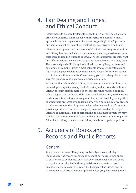# <span id="page-11-0"></span>4. Fair Dealing and Honest and Ethical Conduct

Liferay wants to succeed by doing the right thing. You must deal honestly, ethically and fairly. You must act with integrity and comply with all applicable laws and regulations. Statements regarding Liferay's products and services must not be untrue, misleading, deceptive or fraudulent.

Liferay's development and business model is built on strong communities and Liferay has invested a lot of time, money and energy to develop these relationships based on trust and goodwill. These relationships are important and Liferay expects that you do your part to maintain them on a daily basis. The trust and goodwill Liferay has built with its suppliers, partners and customers are among Liferay's most valuable assets. While establishing that trust and goodwill has taken years, it only takes a few careless actions to ruin them within moments. Consequently you must always behave in a way that preserves and enhances Liferay's reputation.

For our vendor relationships, Liferay purchases products or services based on need, price, quality, scope, level of service, and terms and conditions. Liferay does not discriminate nor chooses its vendors based on race, color, religion, sex, national origin, age, sexual orientation, marital status, medical condition, veteran status, physical or mental disability, or any other characteristic protected by applicable law. When possible, Liferay prefers to initiate a competitive bid process when selecting vendors. If a vendor provides products or services designed, manufactured or developed to Liferay's requirements and specifications, the business agreement may contain restrictions on sales of such products by the vendor to third parties. After all it is Liferay's business and Liferay needs to keep it competitive.

# 5. Accuracy of Books and Records and Public Reports

### General

As a private company Liferay may not be subject to certain legal regimes covering record keeping and accounting, because they apply to publicly listed companies only. However, Liferay believes that some core principles reflected in these provisions are a matter of good business practice also for a privately held company like Liferay and for its compliance efforts with other applicable legal/regulatory obligations.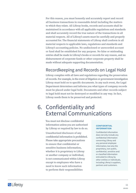<span id="page-12-0"></span>For this reason, you must honestly and accurately report and record all business transactions in reasonable detail including the matters to which they relate. All Liferay books, records and accounts shall be maintained in accordance with all applicable regulations and standards and shall accurately record the true nature of the transactions in all material respects. All of Liferay's assets must be carefully and properly accounted for. The financial statements of Liferay shall conform in all material respects to applicable laws, regulations and standards and Liferay's accounting policies. No undisclosed or unrecorded account or fund shall be established for any purpose. No false or misleading entries shall be made in Liferay's books or records for any reason, and no disbursement of corporate funds or other corporate property shall be made without adequate supporting documentation.

### Recordkeeping and Records on Legal Hold

Liferay complies with all laws and regulations regarding the preservation of records. For example, in the event of litigation or government investigation Liferay must hold on to specific documents. In any such event, the Legal Department determines and informs you what types of company records must be placed under legal hold. Documents and other records subject to legal hold must not be destroyed or modified in any way. In fact, Liferay needs them to be preserved and protected.

# 6. Confidentiality and External Communications

You must not disclose confidential information unless you are authorized by Liferay or required by law to do so.

Unauthorized disclosure of any confidential information is prohibited. Please take appropriate precautions to ensure that confidential or sensitive business information, whether it is proprietary to Liferay or another company or individual, is not communicated within Liferay except to employees who have a need to know such information to perform their responsibilities

#### **Confidential Information**

Confidential information does not only include any confidential information concerning Liferay and any personal employee information, but also the proprietary, non-public, confidential, sensitive and/ or classified information entrusted to Liferay by other entities or individuals, including Liferay's suppliers, partners and customers.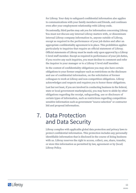<span id="page-13-0"></span>for Liferay. Your duty to safeguard confidential information also applies to communications with your family members and friends, and continues even after your employment relationship with Liferay ends.

Occasionally, third parties may ask you for information concerning Liferay. You must not discuss any internal Liferay matters with, or disseminate internal Liferay company information to, anyone outside of Liferay, except as required in the performance of your job duties and after an appropriate confidentiality agreement is in place. This prohibition applies particularly to inquiries that require an official statement of Liferay. Official statements of Liferay must be made only upon approval by a Liferay C-level staff member. Except as required in performance of your job duties, if you receive any such inquiries, you must decline to comment and refer the inquirer to your manager or to a Liferay C-level staff member.

In the context of confidentiality obligations you may also have certain obligations to your former employer such as restrictions on the disclosure and use of confidential information, on the solicitation of former colleagues to work at Liferay and non-competition obligations. Liferay acknowledges and respects and requires you to honor these obligations.

Last but not least, if you are involved in conducting business in the federal, state or local government marketplace(s), you may have to abide by other obligations regarding the receipt, safeguarding, use or disclosure of certain types of information, such as restrictions regarding competitionsensitive information such as government "source selection" or contractor bid and proposal information.

### 7. Data Protection and Data Security

Liferay complies with applicable global data protection and privacy laws to protect confidential information. This protection includes any personally identifiable information that is disclosed in the course of doing business with us. Liferay reserves the right to access, collect, use, share, transfer, or store this information as permitted by law, agreement or by (local) Liferay Policy.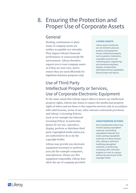### <span id="page-14-0"></span>8. Ensuring the Protection and Proper Use of Corporate Assets

### General

Stealing, carelessness or plain waste of company assets are neither acceptable nor tolerable. They impact Liferay's financial performance or unnecessarily the environment. Liferay therefore expects you to treat company assets as if they are your own, and to ensure they are used efficiently for legitimate business purposes only.

#### **Liferay Assets**

Liferay assets include but are not limited to physical property and equipment, money, intellectual property such as patents, trademarks, copyrights, business and marketing plans, engineering and manufacturing ideas, designs, compensation information and any unpublished financial data and reports.

### Use of Third Party Intellectual Property or Services, Use of Corporate Electronic Equipment

To the same extent that Liferay expect others to honor our intellectual property rights, Liferay also wants to respect the intellectual property rights of others and use these or the respective services only in accordance with valid licenses, terms of use, other relevant contractual provisions

and Liferay´s Licensing Policies (such as for example the Inbound Licensing Policy). In particular, please do not use, reproduce, display, perform or distribute third party copyrighted works unless you are authorized to do so by the copyright holder.

Liferay may provide you electronic equipment necessary to perform your job (for example computers, smartphones). Please use this equipment responsibly. Liferay does allow the use of company-provided

#### **Unauthorized Actions**

Such unauthorized actions may include copying copyrighted materials, transmitting copyrighted materials over email, posting copyrighted materials on Liferay intranet sites, editing or otherwise modifying copyrighted materials, or performing or playing a film, television program or music to a group without the permission of the copyright holder.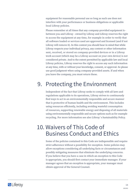<span id="page-15-0"></span>equipment for reasonable personal use so long as such use does not interfere with your performance or business obligations or applicable local Liferay policies.

Please remember at all times that any company-provided equipment is between you and Liferay - owned by Liferay and Liferay reserves the right to access the equipment at any time, for example in order to verify that all software loaded or services used are approved and licensed (and if not Liferay will remove it). In this context you should bear in mind that while Liferay respects your individual privacy, any content or other information sent, received, or stored on company-provided devices or in a Liferay work account (which may be a Liferay account on your own device) is not considered private. And to the extent permitted by applicable law and local Liferay policies, Liferay reserves the right to access any such information at any time, with or without your knowledge, consent, or approval. So please use good judgment when using company-provided assets. If and when you leave the company, you must return these.

# 9. Protecting the Environment

Independent of the fact that Liferay seeks to comply with all laws and regulations applicable to its operations, Liferay strives to continuously find ways to act in an environmentally responsible and secure manner that is protective of human health and the environment. This includes using resources efficiently, including avoiding wasteful consumption of resources, supporting renewable energy and disposing of all materials using environmentally responsible and secure options such as for example recycling. For more information see also Liferay´s Sustainability Policy.

# 10. Waivers of This Code of Business Conduct and Ethics

Some of the policies contained in this Code are indispensible and require strict adherence without a possibility for exception. Some policies may allow exceptions considering all underlying facts or circumstances and possibly mitigating measures that eliminate the underlying concerns. If you believe that you have a case in which an exception to this Code is appropriate, you should first contact your immediate manager. If your manager agrees that an exception is appropriate, your manager must obtain approval of the General Counsel.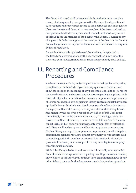<span id="page-16-0"></span>The General Counsel shall be responsible for maintaining a complete record of all requests for exceptions to this Code and the disposition of such requests and report such record to the Board each calendar quarter. If you are the General Counsel, or any member of the Board and seek an exception to this Code then you should contact the Board. Any waiver of this Code for the member of the Board or the General Counsel or any change to this Code that applies to the member of the Board or the General Counsel may be made only by the Board and will be disclosed as required by law or regulation.

Determinations made by the General Counsel may be appealed to the Board and determinations by the Board, whether in review of the General's Counsel determinations or made independently shall be final.

### 11. Reporting and Compliance Procedures

You have the responsibility to (i) ask questions or seek guidance regarding compliance with this Code if you have any questions or are unsure about the scope or the meaning of any part of this Code and to (ii) report suspected violations and express any concerns regarding compliance with this Code. If you know or believe that any other employee or representative of Liferay has engaged or is engaging in Liferay-related conduct that violates applicable law or this Code, you should report such information to your manager, the General Counsel, or to any member of the Liferay Board. Any manager who receives a report of a violation of this Code must immediately inform the General Counsel, or, if the alleged violation involved the General Counsel, a member of the Liferay Board. You may report such conduct openly or anonymously without fear of retaliation and Liferay will make any reasonable effort to protect your integrity. Neither Liferay nor any of its employees or representatives will discipline, discriminate against or retaliate against any employee who reports such conduct in good faith, whether or not such information is ultimately proven to be correct, or who cooperates in any investigation or inquiry regarding such conduct.

While it is Liferay's desire to address matters internally, nothing in this Code should discourage you from reporting any illegal activity, including any violation of the labor laws, antitrust laws, environmental laws or any other federal, state or foreign law, rule or regulation, to the appropriate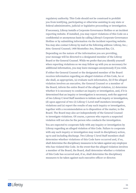regulatory authority. This Code should not be construed to prohibit you from testifying, participating or otherwise assisting in any state or federal administrative, judicial or legislative proceeding or investigation.

If necessary, Liferay installs a Corporate Governance Hotline or an incident reporting website. If installed, you may report violations of this Code on a confidential or anonymous basis by calling Liferay's Corporate Governance Hotline or by submitting information via the incident reporting website. You may also contact Liferay by mail at the following address: Liferay, Inc.; Attn: General Counsel; 1400 Montefino Ave, Diamond Bar, CA.

Depending on the nature of the information you are providing, your message will be directed to a designated member of the Liferay Board or the General Counsel. While we prefer that you identify yourself when reporting violations so we may follow up with you as necessary for additional information, you may leave messages anonymously if you wish.

If either the General Counsel or the designated member of the Board receives information regarding an alleged violation of this Code, he or she shall, as appropriate, (a) evaluate such information, (b) if the alleged violation involves an executive, the General Counsel or a member of the Board, inform the entire Board of the alleged violation, (c) determine whether it is necessary to conduct an inquiry or investigation, and, if it is determined that an inquiry or investigation is necessary, seek the approval of two Liferay C-level Staff members to initiate such inquiry or investigation, (d) upon approval of two (2) Liferay C-Level staff members investigate violations and (e) report the results of any such inquiry or investigation, together with a recommendation as to disposition of the matter, to the Board. The Board may also act independently of the General Counsel to investigate violations. Of course, a person who reports a suspected violation will not also be the person who conducts the investigation.

You are expected to cooperate fully with any inquiry or investigation by Liferay regarding an alleged violation of this Code. Failure to cooperate with any such inquiry or investigation may result in disciplinary action, up to and including discharge. Two Liferay C-level Staff members shall determine whether violations of this Code have occurred and, if so, shall determine the disciplinary measures to be taken against any employee who has violated this Code. In the event that the alleged violation involves a member of the Board, the Board, shall determine whether a violation of this Code has occurred and, if so, shall determine the disciplinary measures to be taken against such executive officer or director.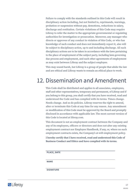<span id="page-18-0"></span>Failure to comply with the standards outlined in this Code will result in disciplinary action including, but not limited to, reprimands, warnings, probation or suspension without pay, demotions, reductions in salary, discharge and restitution. Certain violations of this Code may require Liferay to refer the matter to the appropriate governmental or regulating authorities for investigation or prosecution. Moreover, any manager who directs or approves of any conduct in violation of this Code, or who has knowledge of such conduct and does not immediately report it, also will be subject to disciplinary action, up to and including discharge. All such disciplinary actions are to be taken in accordance with the laws pertaining to the place of employment of the subject party, including laws governing due process and employment, and such other agreements of employment as may exist between Liferay and the subject employee.

This may sound harsh, but Liferay is a group of people that abide the law and are ethical and Liferay wants to remain an ethical place to work.

# 12. Dissemination and Amendment

This Code shall be distributed and applies to all associates, employees, staff and other representatives, temporary and permanent, of Liferay and if you belong to this group, you shall certify that you have received, read and understood the Code and has complied with its terms. Times change. Needs change. And so do policies. Liferay reserves the right to amend, alter or terminate this Code at any time for any reason. Any amendment or modification of this Code must be approved by the Board and promptly disclosed in accordance with applicable law. The most current version of this Code is located at liferay.com.

This document is not an employment contract between the Company and any of its employees, officers or directors and does not alter any existing employment contract nor Employee Handbook, if any, or, where no such employment contracts exists, the Company's at-will employment policy.

**I hereby certify that I have received, read and understood this Code of Business Conduct and Ethics and have complied with its terms.**

**Place, Date**

**Name**

**Signature**